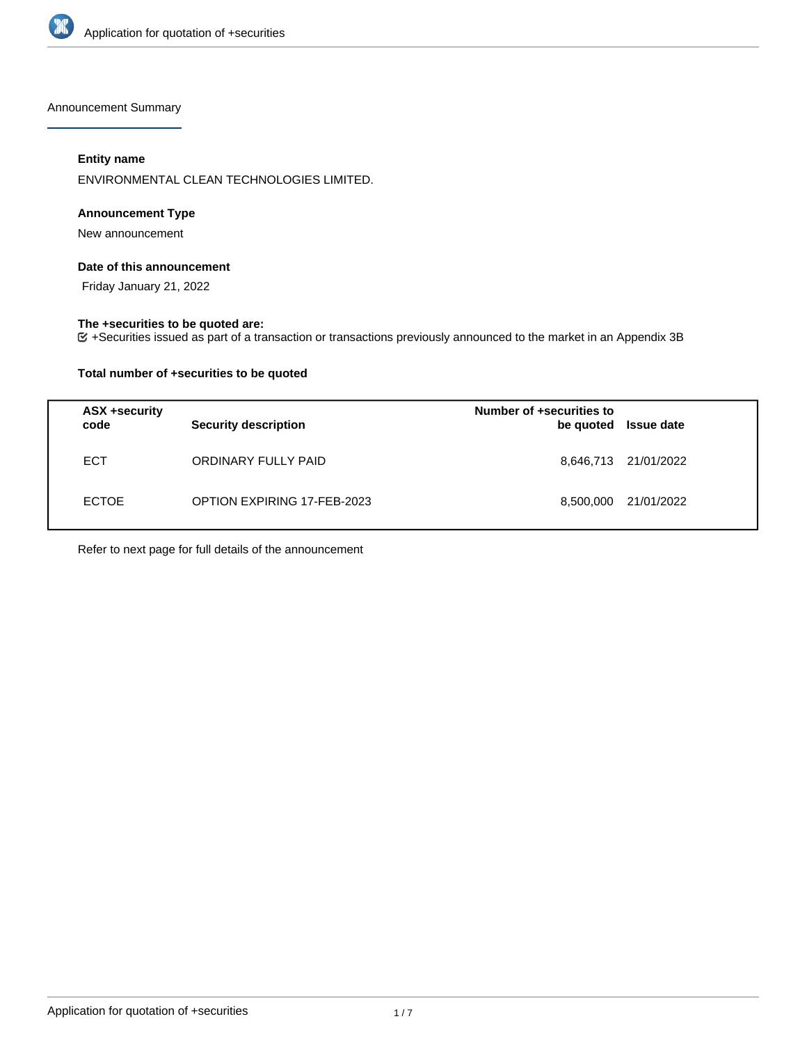

Announcement Summary

# **Entity name**

ENVIRONMENTAL CLEAN TECHNOLOGIES LIMITED.

## **Announcement Type**

New announcement

## **Date of this announcement**

Friday January 21, 2022

## **The +securities to be quoted are:**

+Securities issued as part of a transaction or transactions previously announced to the market in an Appendix 3B

## **Total number of +securities to be quoted**

| ASX +security<br>code | <b>Security description</b> | Number of +securities to<br>be quoted | <b>Issue date</b>    |
|-----------------------|-----------------------------|---------------------------------------|----------------------|
| <b>ECT</b>            | ORDINARY FULLY PAID         |                                       | 8,646,713 21/01/2022 |
| <b>ECTOE</b>          | OPTION EXPIRING 17-FEB-2023 | 8,500,000                             | 21/01/2022           |

Refer to next page for full details of the announcement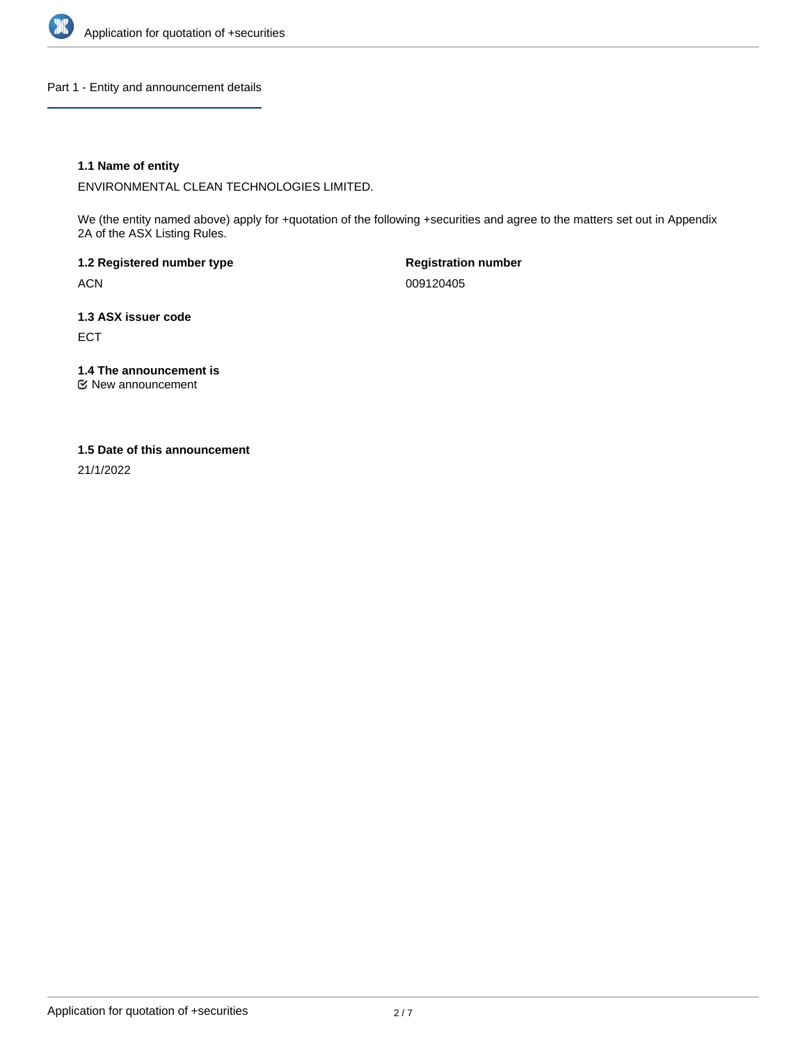

Part 1 - Entity and announcement details

## **1.1 Name of entity**

ENVIRONMENTAL CLEAN TECHNOLOGIES LIMITED.

We (the entity named above) apply for +quotation of the following +securities and agree to the matters set out in Appendix 2A of the ASX Listing Rules.

**1.2 Registered number type** ACN

**Registration number** 009120405

**1.3 ASX issuer code** ECT

**1.4 The announcement is**

New announcement

## **1.5 Date of this announcement**

21/1/2022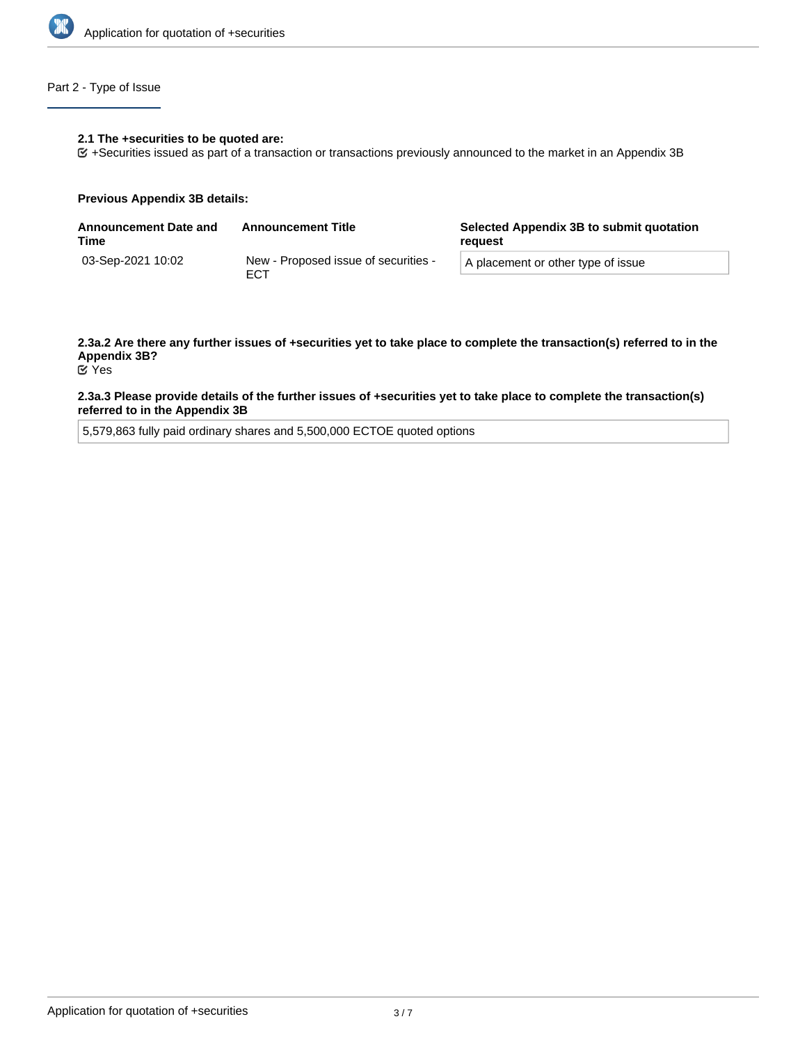

# Part 2 - Type of Issue

#### **2.1 The +securities to be quoted are:**

+Securities issued as part of a transaction or transactions previously announced to the market in an Appendix 3B

#### **Previous Appendix 3B details:**

| <b>Announcement Date and</b><br>Time | <b>Announcement Title</b>                   | Selected Appendix 3B to submit quotation<br>reguest |  |
|--------------------------------------|---------------------------------------------|-----------------------------------------------------|--|
| 03-Sep-2021 10:02                    | New - Proposed issue of securities -<br>ECT | A placement or other type of issue                  |  |

# **2.3a.2 Are there any further issues of +securities yet to take place to complete the transaction(s) referred to in the Appendix 3B?**

Yes

#### **2.3a.3 Please provide details of the further issues of +securities yet to take place to complete the transaction(s) referred to in the Appendix 3B**

5,579,863 fully paid ordinary shares and 5,500,000 ECTOE quoted options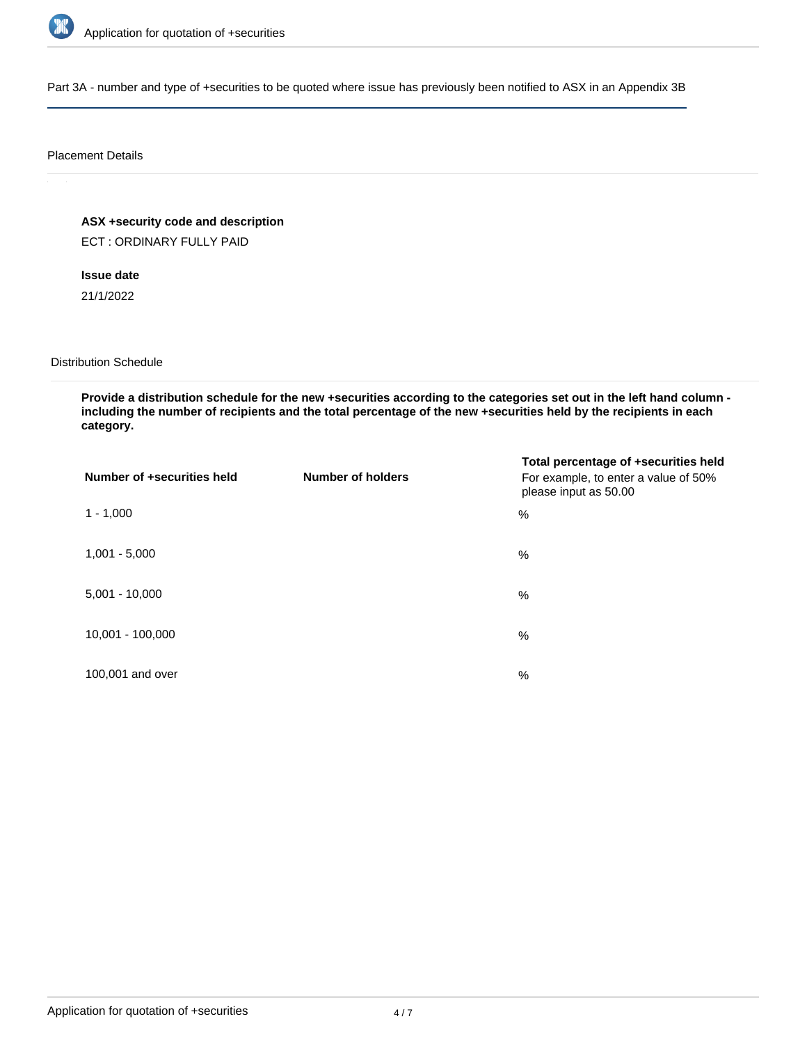

Part 3A - number and type of +securities to be quoted where issue has previously been notified to ASX in an Appendix 3B

## Placement Details

**ASX +security code and description** ECT : ORDINARY FULLY PAID

**Issue date**

21/1/2022

Distribution Schedule

**Provide a distribution schedule for the new +securities according to the categories set out in the left hand column including the number of recipients and the total percentage of the new +securities held by the recipients in each category.**

| Number of +securities held | <b>Number of holders</b> | Total percentage of +securities held<br>For example, to enter a value of 50%<br>please input as 50.00 |
|----------------------------|--------------------------|-------------------------------------------------------------------------------------------------------|
| $1 - 1,000$                |                          | %                                                                                                     |
| $1,001 - 5,000$            |                          | $\%$                                                                                                  |
| $5,001 - 10,000$           |                          | %                                                                                                     |
| 10,001 - 100,000           |                          | $\%$                                                                                                  |
| 100,001 and over           |                          | $\%$                                                                                                  |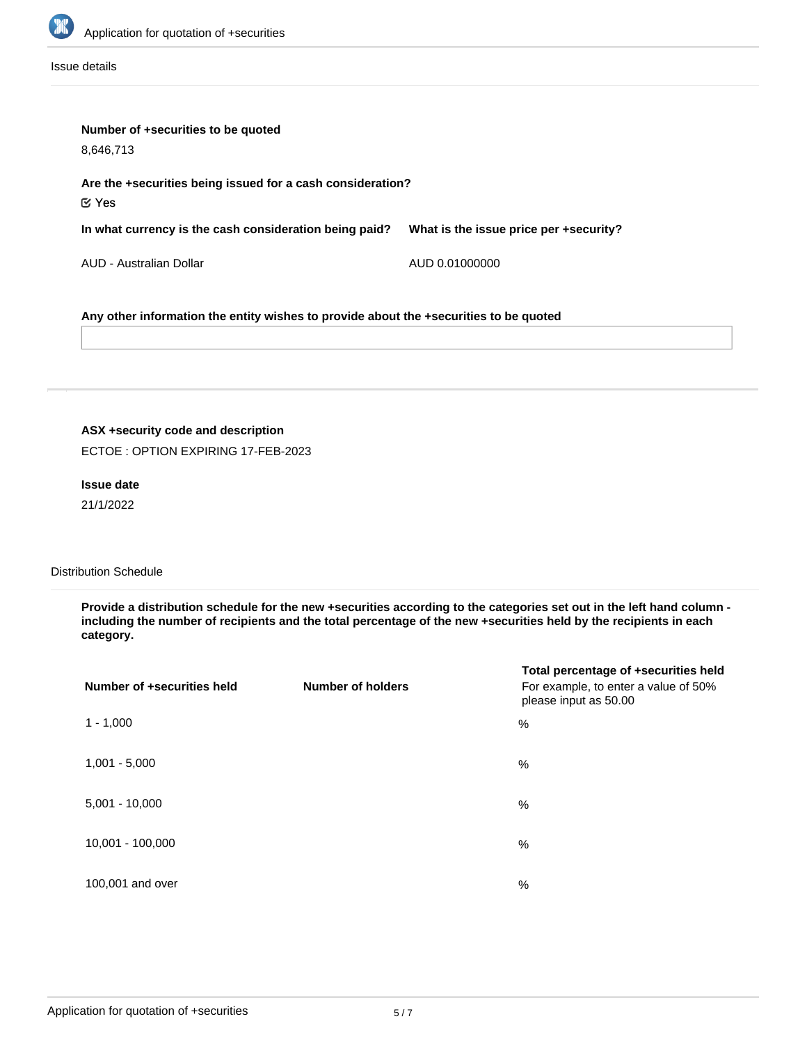

Issue details

| Number of +securities to be quoted<br>8,646,713                                       |                                        |  |  |
|---------------------------------------------------------------------------------------|----------------------------------------|--|--|
| Are the +securities being issued for a cash consideration?<br>$\mathfrak C$ Yes       |                                        |  |  |
| In what currency is the cash consideration being paid?                                | What is the issue price per +security? |  |  |
| AUD - Australian Dollar                                                               | AUD 0.01000000                         |  |  |
| Any other information the entity wishes to provide about the +securities to be quoted |                                        |  |  |

# **ASX +security code and description**

ECTOE : OPTION EXPIRING 17-FEB-2023

## **Issue date**

21/1/2022

## Distribution Schedule

**Provide a distribution schedule for the new +securities according to the categories set out in the left hand column including the number of recipients and the total percentage of the new +securities held by the recipients in each category.**

| Number of +securities held | <b>Number of holders</b> | Total percentage of +securities held<br>For example, to enter a value of 50%<br>please input as 50.00 |
|----------------------------|--------------------------|-------------------------------------------------------------------------------------------------------|
| $1 - 1,000$                |                          | %                                                                                                     |
| $1,001 - 5,000$            |                          | %                                                                                                     |
| $5,001 - 10,000$           |                          | %                                                                                                     |
| 10,001 - 100,000           |                          | %                                                                                                     |
| 100,001 and over           |                          | %                                                                                                     |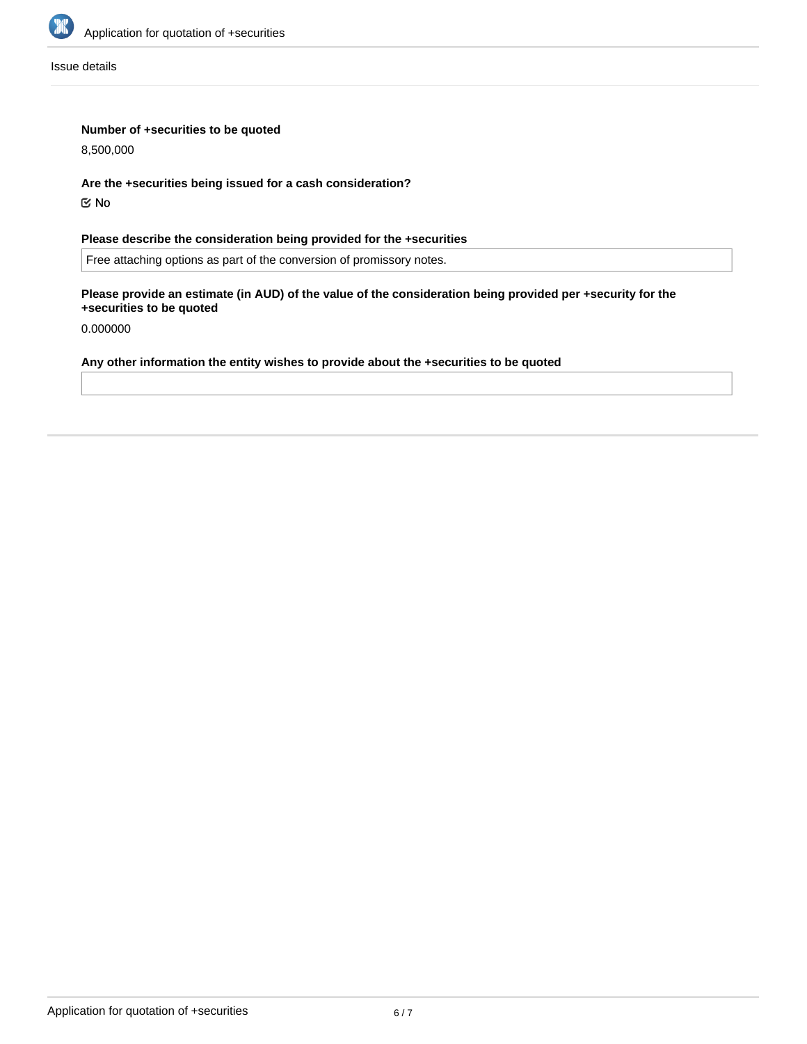

Issue details

## **Number of +securities to be quoted**

8,500,000

**Are the +securities being issued for a cash consideration?**

No

**Please describe the consideration being provided for the +securities**

Free attaching options as part of the conversion of promissory notes.

**Please provide an estimate (in AUD) of the value of the consideration being provided per +security for the +securities to be quoted**

0.000000

## **Any other information the entity wishes to provide about the +securities to be quoted**